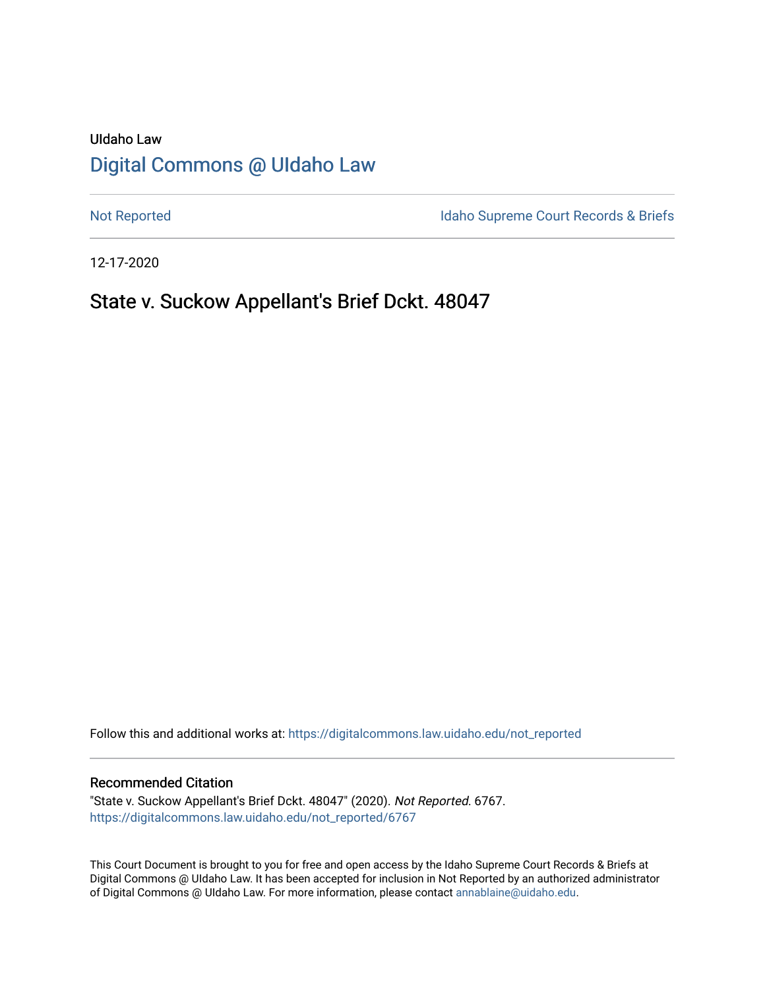# UIdaho Law [Digital Commons @ UIdaho Law](https://digitalcommons.law.uidaho.edu/)

[Not Reported](https://digitalcommons.law.uidaho.edu/not_reported) **Idaho Supreme Court Records & Briefs** 

12-17-2020

## State v. Suckow Appellant's Brief Dckt. 48047

Follow this and additional works at: [https://digitalcommons.law.uidaho.edu/not\\_reported](https://digitalcommons.law.uidaho.edu/not_reported?utm_source=digitalcommons.law.uidaho.edu%2Fnot_reported%2F6767&utm_medium=PDF&utm_campaign=PDFCoverPages) 

#### Recommended Citation

"State v. Suckow Appellant's Brief Dckt. 48047" (2020). Not Reported. 6767. [https://digitalcommons.law.uidaho.edu/not\\_reported/6767](https://digitalcommons.law.uidaho.edu/not_reported/6767?utm_source=digitalcommons.law.uidaho.edu%2Fnot_reported%2F6767&utm_medium=PDF&utm_campaign=PDFCoverPages)

This Court Document is brought to you for free and open access by the Idaho Supreme Court Records & Briefs at Digital Commons @ UIdaho Law. It has been accepted for inclusion in Not Reported by an authorized administrator of Digital Commons @ UIdaho Law. For more information, please contact [annablaine@uidaho.edu](mailto:annablaine@uidaho.edu).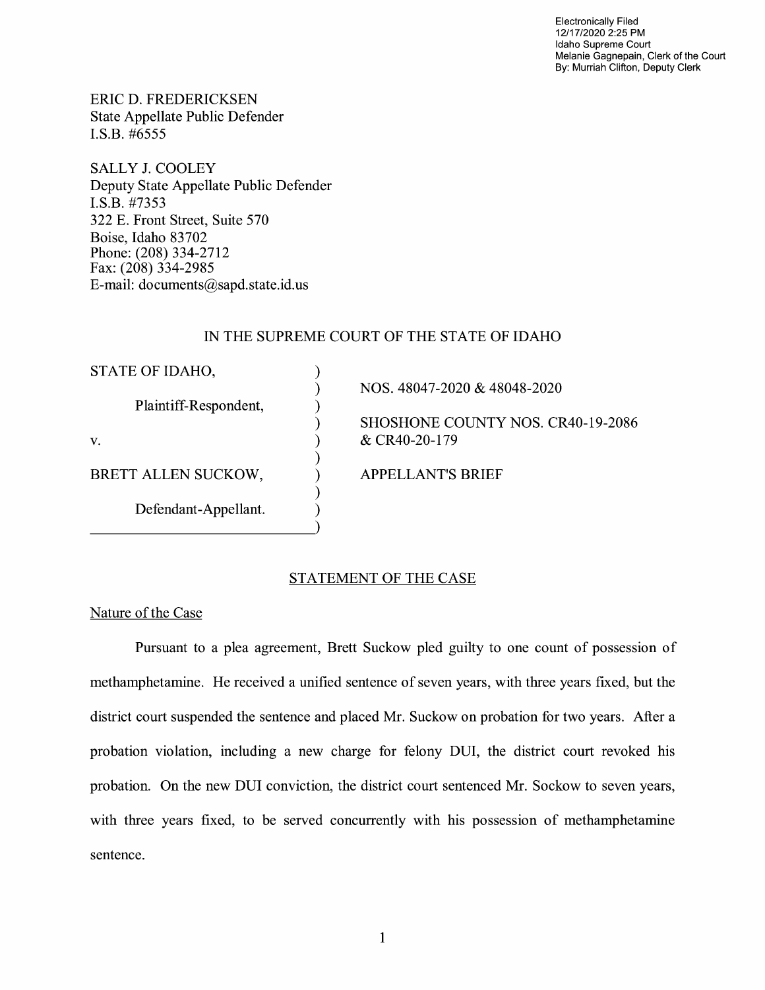Electronically Filed 12/17/2020 2:25 PM Idaho Supreme Court Melanie Gagnepain, Clerk of the Court By: Murriah Clifton, Deputy Clerk

ERIC D. FREDERICKSEN State Appellate Public Defender I.S.B. #6555

SALLY J. COOLEY Deputy State Appellate Public Defender I.S.B. #7353 322 E. Front Street, Suite 570 Boise, Idaho 83702 Phone: (208) 334-2712 Fax: (208) 334-2985 E-mail: documents@sapd.state.id. us

## IN THE SUPREME COURT OF THE STATE OF IDAHO

) ) ) ) ) ) ) ) )

STATE OF IDAHO,

Plaintiff-Respondent,

V.

BRETT ALLEN SUCKOW,

Defendant-Appellant.

NOS. 48047-2020 & 48048-2020

SHOSHONE COUNTY NOS. CR40-19-2086 & CR40-20-179

APPELLANT'S BRIEF

## STATEMENT OF THE CASE

Nature of the Case

Pursuant to a plea agreement, Brett Suckow pied guilty to one count of possession of methamphetamine. He received a unified sentence of seven years, with three years fixed, but the district court suspended the sentence and placed Mr. Suckow on probation for two years. After a probation violation, including a new charge for felony DUI, the district court revoked his probation. On the new DUI conviction, the district court sentenced Mr. Sockow to seven years, with three years fixed, to be served concurrently with his possession of methamphetamine sentence.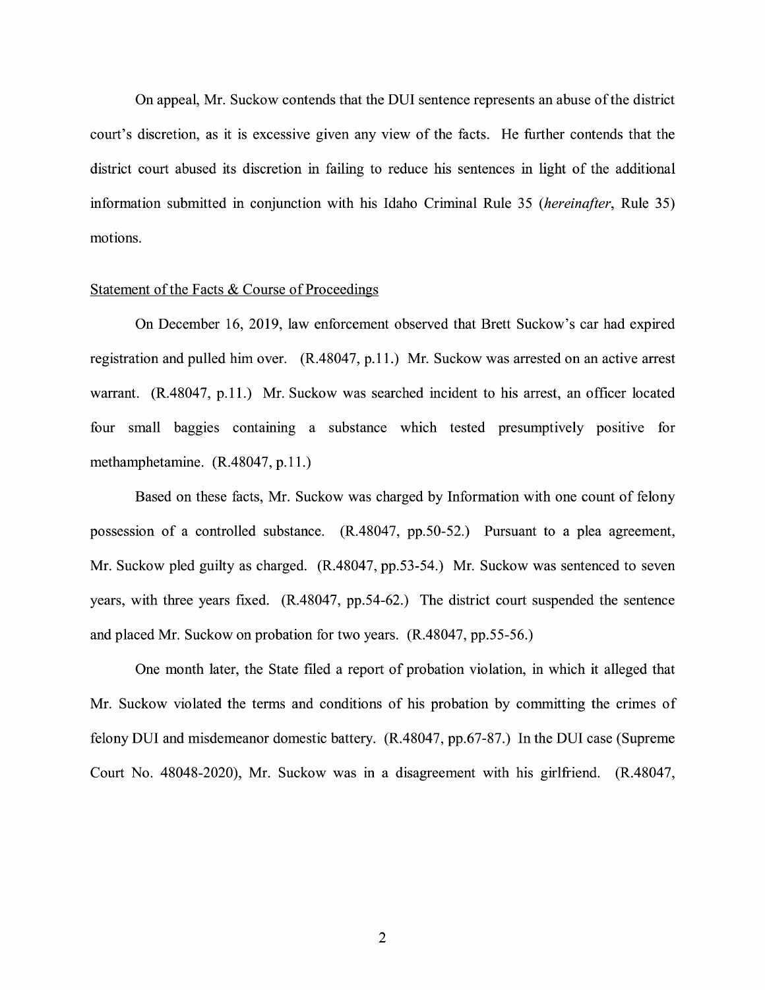On appeal, Mr. Suckow contends that the DUI sentence represents an abuse of the district court's discretion, as it is excessive given any view of the facts. He further contends that the district court abused its discretion in failing to reduce his sentences in light of the additional information submitted in conjunction with his Idaho Criminal Rule 35 *(hereinafter,* Rule 35) motions.

#### Statement of the Facts & Course of Proceedings

On December 16, 2019, law enforcement observed that Brett Suckow's car had expired registration and pulled him over. (R.48047, p.11.) Mr. Suckow was arrested on an active arrest warrant. (R.48047, p.11.) Mr. Suckow was searched incident to his arrest, an officer located four small baggies containing a substance which tested presumptively positive for methamphetamine. (R.48047, p.11.)

Based on these facts, Mr. Suckow was charged by Information with one count of felony possession of a controlled substance. (R.48047, pp.50-52.) Pursuant to a plea agreement, Mr. Suckow pled guilty as charged. (R.48047, pp.53-54.) Mr. Suckow was sentenced to seven years, with three years fixed. (R.48047, pp.54-62.) The district court suspended the sentence and placed Mr. Suckow on probation for two years. (R.48047, pp.55-56.)

One month later, the State filed a report of probation violation, in which it alleged that Mr. Suckow violated the terms and conditions of his probation by committing the crimes of felony DUI and misdemeanor domestic battery. (R.48047, pp.67-87.) In the DUI case (Supreme Court No. 48048-2020), Mr. Suckow was in a disagreement with his girlfriend. (R.48047,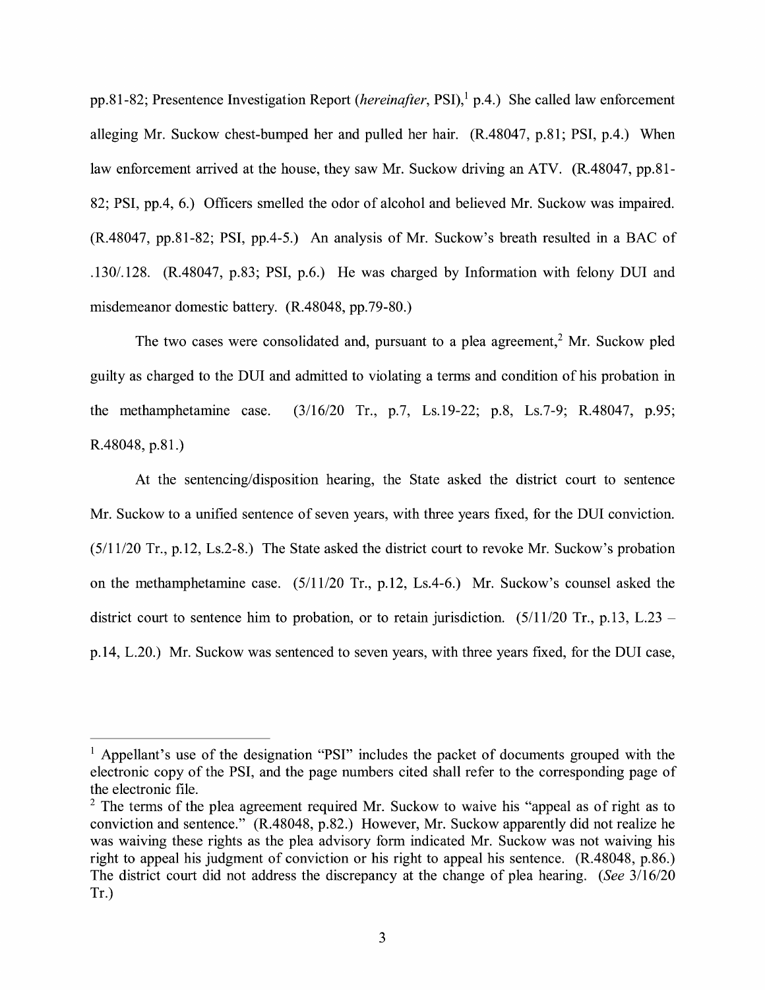pp.81-82; Presentence Investigation Report *(hereinafter*, PSI),<sup>1</sup> p.4.) She called law enforcement alleging Mr. Suckow chest-bumped her and pulled her hair. (R.48047, p.81; PSI, p.4.) When law enforcement arrived at the house, they saw Mr. Suckow driving an ATV. (R.48047, pp.81-82; PSI, pp.4, 6.) Officers smelled the odor of alcohol and believed Mr. Suckow was impaired. (R.48047, pp.81-82; PSI, pp.4-5.) An analysis of Mr. Suckow's breath resulted in a BAC of .130/.128. (R.48047, p.83; PSI, p.6.) He was charged by Information with felony DUI and misdemeanor domestic battery. (R.48048, pp.79-80.)

The two cases were consolidated and, pursuant to a plea agreement,<sup>2</sup> Mr. Suckow pled guilty as charged to the DUI and admitted to violating a terms and condition of his probation in the methamphetamine case. (3/16/20 Tr., p.7, Ls.19-22; p.8, Ls.7-9; R.48047, p.95; R.48048, p.81.)

At the sentencing/disposition hearing, the State asked the district court to sentence Mr. Suckow to a unified sentence of seven years, with three years fixed, for the DUI conviction. (5/11/20 Tr., p.12, Ls.2-8.) The State asked the district court to revoke Mr. Suckow's probation on the methamphetamine case. (5/11/20 Tr., p.12, Ls.4-6.) Mr. Suckow's counsel asked the district court to sentence him to probation, or to retain jurisdiction.  $(5/11/20 \text{ Tr}., p.13, L.23$ p.14, L.20.) Mr. Suckow was sentenced to seven years, with three years fixed, for the DUI case,

 $<sup>1</sup>$  Appellant's use of the designation "PSI" includes the packet of documents grouped with the</sup> electronic copy of the PSI, and the page numbers cited shall refer to the corresponding page of the electronic file.

 $2$  The terms of the plea agreement required Mr. Suckow to waive his "appeal as of right as to conviction and sentence." (R.48048, p.82.) However, Mr. Suckow apparently did not realize he was waiving these rights as the plea advisory form indicated Mr. Suckow was not waiving his right to appeal his judgment of conviction or his right to appeal his sentence. (R.48048, p.86.) The district court did not address the discrepancy at the change of plea hearing. *(See* 3/16/20 Tr.)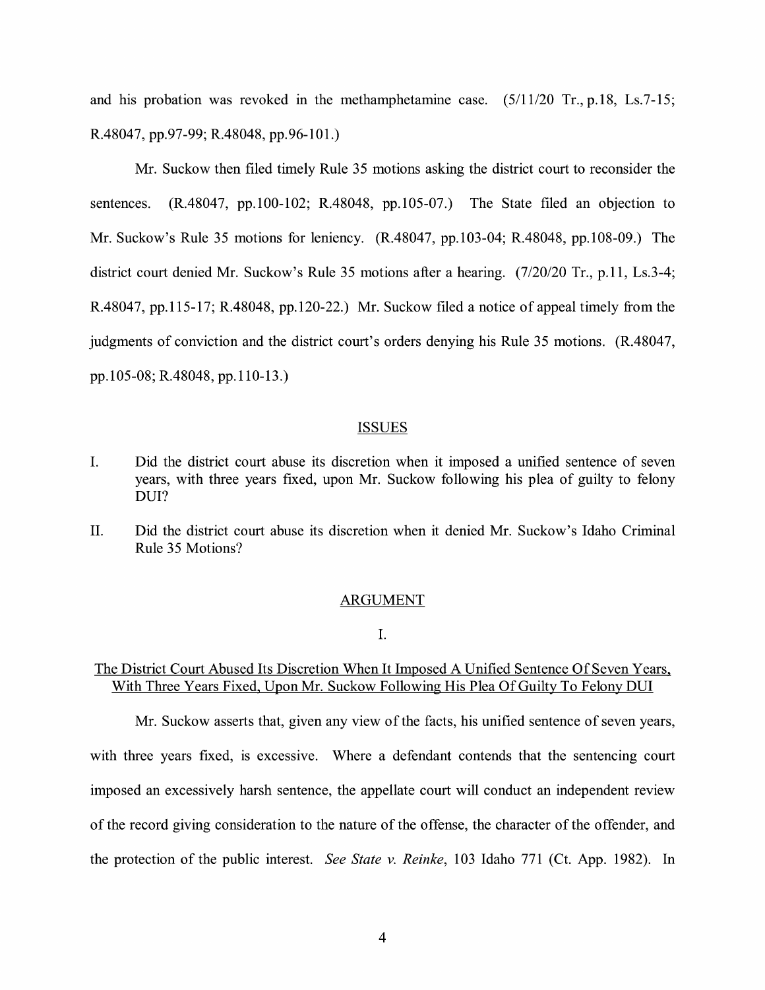and his probation was revoked in the methamphetamine case. (5/11/20 Tr., p.18, Ls.7-15; R.48047, pp.97-99; R.48048, pp.96-101.)

Mr. Suckow then filed timely Rule 35 motions asking the district court to reconsider the sentences. (R.48047, pp.100-102; R.48048, pp.105-07.) The State filed an objection to Mr. Suckow's Rule 35 motions for leniency. (R.48047, pp.103-04; R.48048, pp.108-09.) The district court denied Mr. Suckow's Rule 35 motions after a hearing. (7/20/20 Tr., p.11, Ls.3-4; R.48047, pp.115-17; R.48048, pp.120-22.) Mr. Suckow filed a notice of appeal timely from the judgments of conviction and the district court's orders denying his Rule 35 motions. (R.48047, pp. I 05-08; R.48048, pp.110-13.)

#### ISSUES

- I. Did the district court abuse its discretion when it imposed a unified sentence of seven years, with three years fixed, upon Mr. Suckow following his plea of guilty to felony DUI?
- II. Did the district court abuse its discretion when it denied Mr. Suckow's Idaho Criminal Rule 35 Motions?

#### ARGUMENT

I.

## The District Court Abused Its Discretion When It Imposed A Unified Sentence Of Seven Years, With Three Years Fixed, Upon Mr. Suckow Following His Plea Of Guilty To Felony DUI

Mr. Suckow asserts that, given any view of the facts, his unified sentence of seven years, with three years fixed, is excessive. Where a defendant contends that the sentencing court imposed an excessively harsh sentence, the appellate court will conduct an independent review of the record giving consideration to the nature of the offense, the character of the offender, and the protection of the public interest. *See State v. Reinke,* 103 Idaho 771 (Ct. App. 1982). In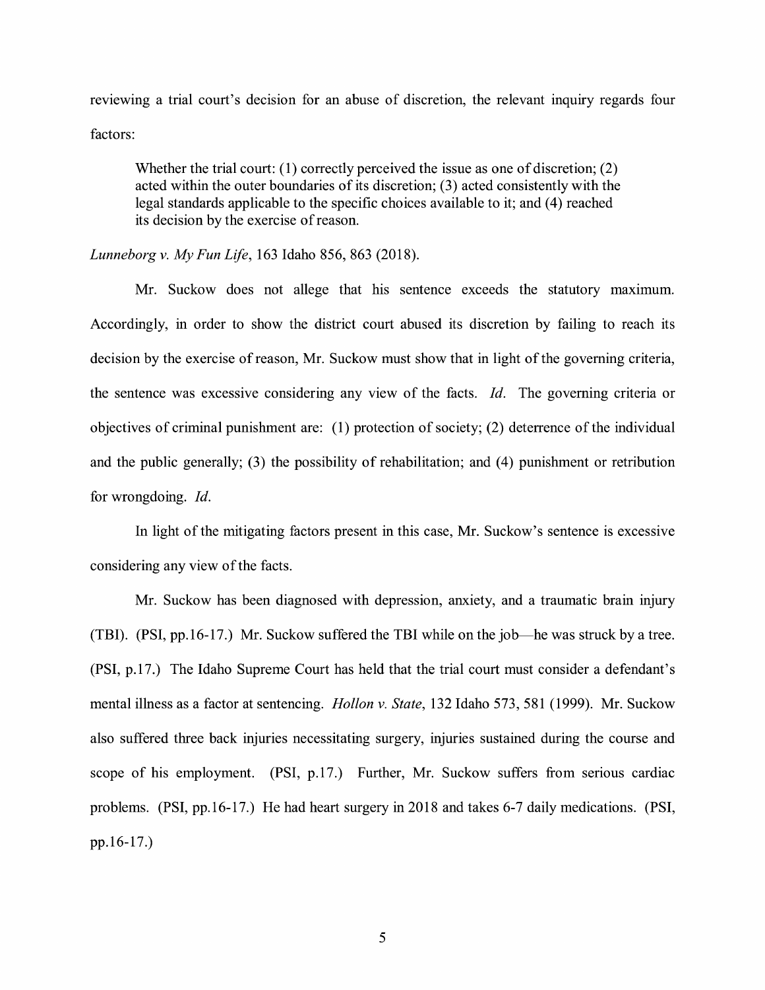reviewing a trial court's decision for an abuse of discretion, the relevant inquiry regards four factors:

Whether the trial court:  $(1)$  correctly perceived the issue as one of discretion;  $(2)$ acted within the outer boundaries of its discretion; (3) acted consistently with the legal standards applicable to the specific choices available to it; and (4) reached its decision by the exercise of reason.

*Lunneborg v. My Fun Life,* 163 Idaho 856, 863 (2018).

Mr. Suckow does not allege that his sentence exceeds the statutory maximum. Accordingly, in order to show the district court abused its discretion by failing to reach its decision by the exercise of reason, Mr. Suckow must show that in light of the governing criteria, the sentence was excessive considering any view of the facts. *Id.* The governing criteria or objectives of criminal punishment are: (1) protection of society; (2) deterrence of the individual and the public generally; (3) the possibility of rehabilitation; and (4) punishment or retribution for wrongdoing. Id.

In light of the mitigating factors present in this case, Mr. Suckow's sentence is excessive considering any view of the facts.

Mr. Suckow has been diagnosed with depression, anxiety, and a traumatic brain injury (TBI). (PSI, pp.16-17.) Mr. Suckow suffered the TBI while on the job—he was struck by a tree. (PSI, p.17.) The Idaho Supreme Court has held that the trial court must consider a defendant's mental illness as a factor at sentencing. *Hollon v. State,* 132 Idaho 573, 581 (1999). Mr. Suckow also suffered three back injuries necessitating surgery, injuries sustained during the course and scope of his employment. (PSI, p.17.) Further, Mr. Suckow suffers from serious cardiac problems. (PSI, pp.16-17.) He had heart surgery in 2018 and takes 6-7 daily medications. (PSI, pp.16-17.)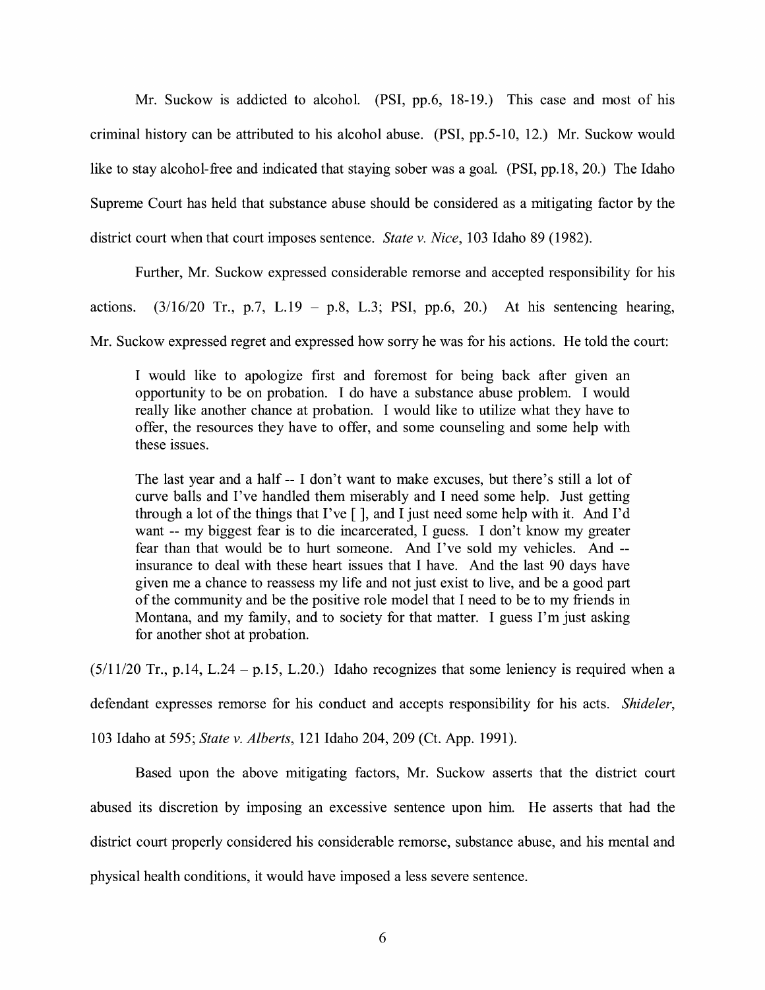Mr. Suckow is addicted to alcohol. (PSI, pp.6, 18-19.) This case and most of his criminal history can be attributed to his alcohol abuse. (PSI, pp.5-10, 12.) Mr. Suckow would like to stay alcohol-free and indicated that staying sober was a goal. (PSI, pp.18, 20.) The Idaho Supreme Court has held that substance abuse should be considered as a mitigating factor by the district court when that court imposes sentence. *State v. Nice,* 103 Idaho 89 (1982).

Further, Mr. Suckow expressed considerable remorse and accepted responsibility for his

actions.  $(3/16/20 \text{ Tr.}, p.7, L.19 - p.8, L.3; PSI, pp.6, 20.)$  At his sentencing hearing,

Mr. Suckow expressed regret and expressed how sorry he was for his actions. He told the court:

I would like to apologize first and foremost for being back after given an opportunity to be on probation. I do have a substance abuse problem. I would really like another chance at probation. I would like to utilize what they have to offer, the resources they have to offer, and some counseling and some help with these issues.

The last year and a half -- I don't want to make excuses, but there's still a lot of curve balls and I've handled them miserably and I need some help. Just getting through a lot of the things that I've  $\lceil \cdot \rceil$ , and I just need some help with it. And I'd want -- my biggest fear is to die incarcerated, I guess. I don't know my greater fear than that would be to hurt someone. And I've sold my vehicles. And - insurance to deal with these heart issues that I have. And the last 90 days have given me a chance to reassess my life and not just exist to live, and be a good part of the community and be the positive role model that I need to be to my friends in Montana, and my family, and to society for that matter. I guess I'm just asking for another shot at probation.

 $(5/11/20$  Tr., p.14, L.24 - p.15, L.20.) Idaho recognizes that some leniency is required when a

defendant expresses remorse for his conduct and accepts responsibility for his acts. *Shideler,* 

103 Idaho at 595; *State v. Alberts,* 121 Idaho 204, 209 (Ct. App. 1991).

Based upon the above mitigating factors, Mr. Suckow asserts that the district court abused its discretion by imposing an excessive sentence upon him. He asserts that had the district court properly considered his considerable remorse, substance abuse, and his mental and physical health conditions, it would have imposed a less severe sentence.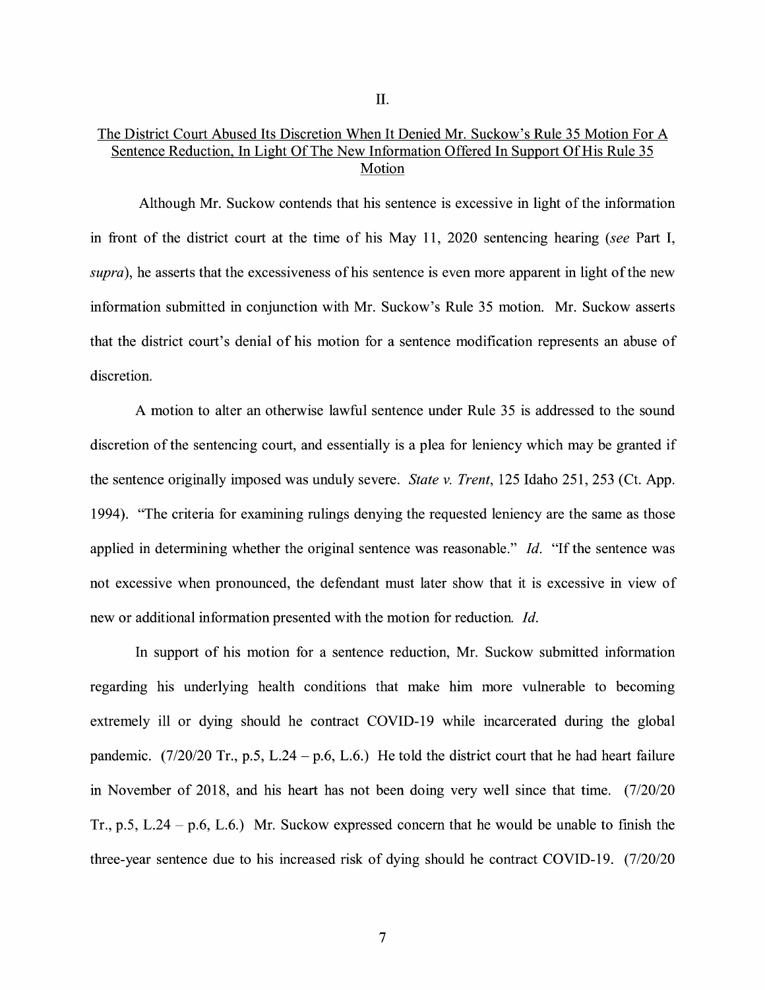## The District Court Abused Its Discretion When It Denied Mr. Suckow's Rule 35 Motion For A Sentence Reduction, In Light Of The New Information Offered In Support Of His Rule 35 Motion

Although Mr. Suckow contends that his sentence is excessive in light of the information in front of the district court at the time of his May 11, 2020 sentencing hearing *(see* Part I, *supra),* he asserts that the excessiveness of his sentence is even more apparent in light of the new information submitted in conjunction with Mr. Suckow's Rule 35 motion. Mr. Suckow asserts that the district court's denial of his motion for a sentence modification represents an abuse of discretion.

A motion to alter an otherwise lawful sentence under Rule 35 is addressed to the sound discretion of the sentencing court, and essentially is a plea for leniency which may be granted if the sentence originally imposed was unduly severe. *State v. Trent,* 125 Idaho 251, 253 (Ct. App. 1994). "The criteria for examining rulings denying the requested leniency are the same as those applied in determining whether the original sentence was reasonable." Id. "If the sentence was not excessive when pronounced, the defendant must later show that it is excessive in view of new or additional information presented with the motion for reduction. *Id.* 

In support of his motion for a sentence reduction, Mr. Suckow submitted information regarding his underlying health conditions that make him more vulnerable to becoming extremely ill or dying should he contract COVID-19 while incarcerated during the global pandemic.  $(7/20/20 \text{ Tr}$ , p.5, L.24 – p.6, L.6.) He told the district court that he had heart failure in November of 2018, and his heart has not been doing very well since that time. (7/20/20 Tr., p.5, L.24 – p.6, L.6.) Mr. Suckow expressed concern that he would be unable to finish the three-year sentence due to his increased risk of dying should he contract COVID-19. (7/20/20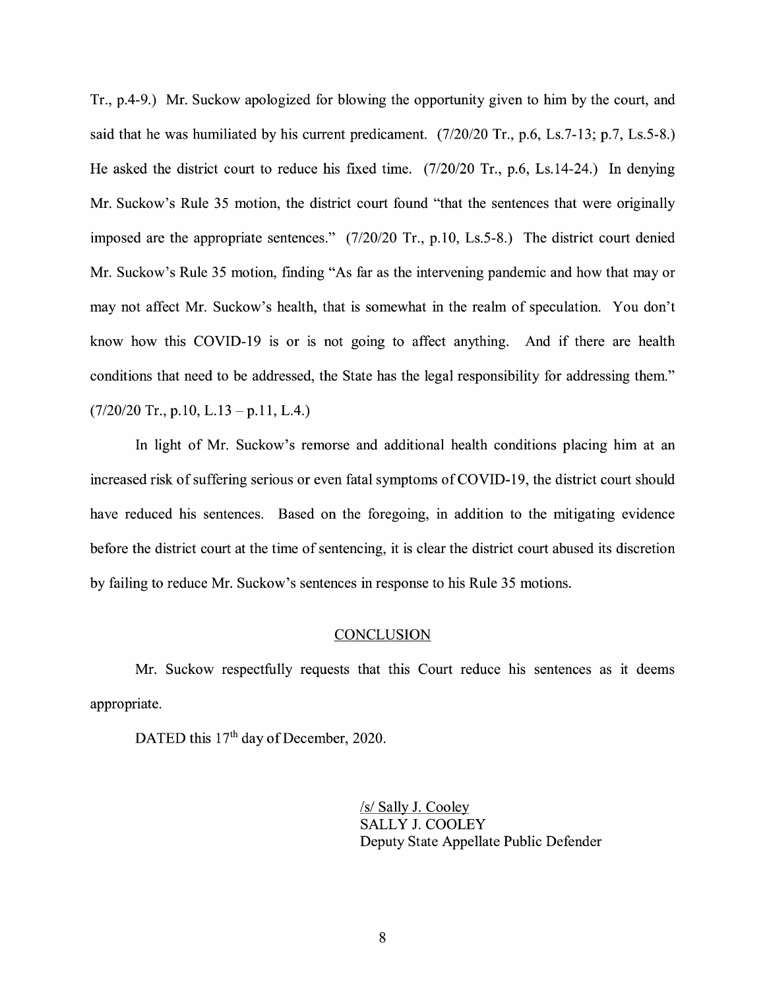Tr., p.4-9.) Mr. Suckow apologized for blowing the opportunity given to him by the court, and said that he was humiliated by his current predicament. (7/20/20 Tr., p.6, Ls.7-13; p.7, Ls.5-8.) He asked the district court to reduce his fixed time. (7/20/20 Tr., p.6, Ls.14-24.) In denying Mr. Suckow's Rule 35 motion, the district court found "that the sentences that were originally imposed are the appropriate sentences." (7/20/20 Tr., p.10, Ls.5-8.) The district court denied Mr. Suckow's Rule 35 motion, finding "As far as the intervening pandemic and how that may or may not affect Mr. Suckow's health, that is somewhat in the realm of speculation. You don't know how this COVID-19 is or is not going to affect anything. And if there are health conditions that need to be addressed, the State has the legal responsibility for addressing them."  $(7/20/20 \text{ Tr.}, p.10, L.13 - p.11, L.4.)$ 

In light of Mr. Suckow's remorse and additional health conditions placing him at an increased risk of suffering serious or even fatal symptoms of COVID-19, the district court should have reduced his sentences. Based on the foregoing, in addition to the mitigating evidence before the district court at the time of sentencing, it is clear the district court abused its discretion by failing to reduce Mr. Suckow's sentences in response to his Rule 35 motions.

#### **CONCLUSION**

Mr. Suckow respectfully requests that this Court reduce his sentences as it deems appropriate.

DATED this 17<sup>th</sup> day of December, 2020.

/s/ Sally J. Cooley SALLY J. COOLEY Deputy State Appellate Public Defender